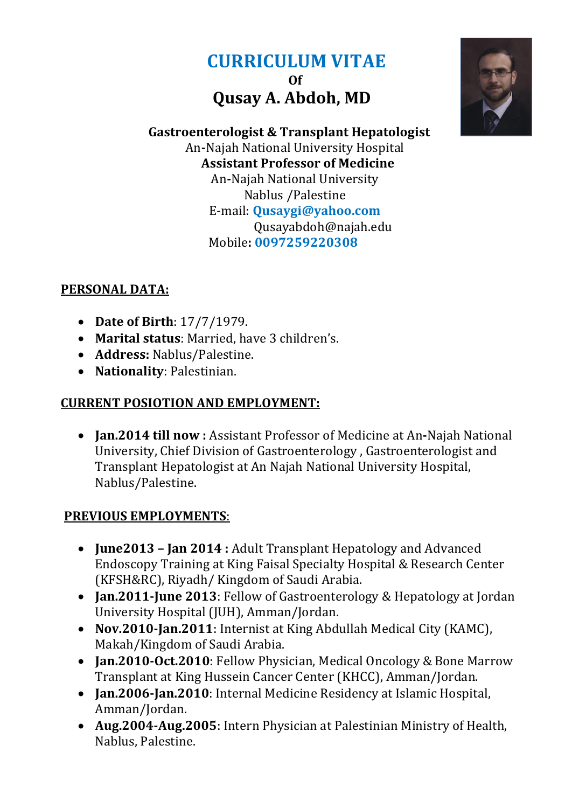# **CURRICULUM VITAE Of Qusay A. Abdoh, MD**



 **Gastroenterologist & Transplant Hepatologist**  An**-**Najah National University Hospital **Assistant Professor of Medicine**  An**-**Najah National University Nablus /Palestine E-mail: **[Qusaygi@yahoo.com](mailto:Qusaygi@yahoo.com)** [Qusayabdoh@najah.edu](mailto:Qusayabdoh@najah.edu) Mobile**: 0097259220308**

## **PERSONAL DATA:**

- **Date of Birth**: 17/7/1979.
- **Marital status**: Married, have 3 children's.
- **Address:** Nablus/Palestine.
- **Nationality**: Palestinian.

## **CURRENT POSIOTION AND EMPLOYMENT:**

 **Jan.2014 till now :** Assistant Professor of Medicine at An**-**Najah National University, Chief Division of Gastroenterology , Gastroenterologist and Transplant Hepatologist at An Najah National University Hospital, Nablus/Palestine.

# **PREVIOUS EMPLOYMENTS**:

- **June2013 – Jan 2014 :** Adult Transplant Hepatology and Advanced Endoscopy Training at King Faisal Specialty Hospital & Research Center (KFSH&RC), Riyadh/ Kingdom of Saudi Arabia.
- **Jan.2011-June 2013**: Fellow of Gastroenterology & Hepatology at Jordan University Hospital (JUH), Amman/Jordan.
- **Nov.2010-Jan.2011**: Internist at King Abdullah Medical City (KAMC), Makah/Kingdom of Saudi Arabia.
- **Jan.2010-Oct.2010**: Fellow Physician, Medical Oncology & Bone Marrow Transplant at King Hussein Cancer Center (KHCC), Amman/Jordan.
- **Jan.2006-Jan.2010**: Internal Medicine Residency at Islamic Hospital, Amman/Jordan.
- **Aug.2004-Aug.2005**: Intern Physician at Palestinian Ministry of Health, Nablus, Palestine.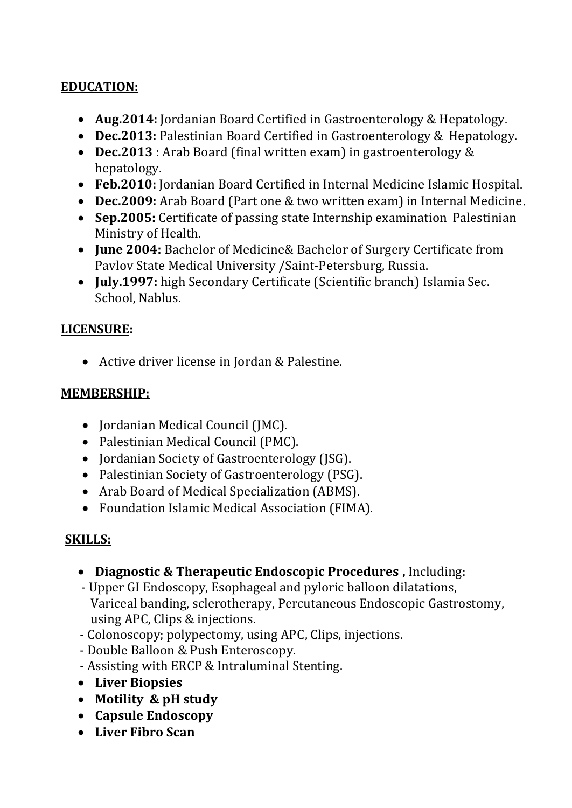#### **EDUCATION:**

- **Aug.2014:** Jordanian Board Certified in Gastroenterology & Hepatology.
- **Dec.2013:** Palestinian Board Certified in Gastroenterology & Hepatology.
- **Dec.2013** : Arab Board (final written exam) in gastroenterology & hepatology.
- **Feb.2010:** Jordanian Board Certified in Internal Medicine Islamic Hospital.
- **Dec.2009:** Arab Board (Part one & two written exam) in Internal Medicine.
- **Sep.2005:** Certificate of passing state Internship examination Palestinian Ministry of Health.
- **June 2004:** [Bachelor of Medicine&](http://www.google.com.sa/url?sa=t&rct=j&q=&esrc=s&source=web&cd=1&cad=rja&ved=0CCkQFjAA&url=http%3A%2F%2Fen.wikipedia.org%2Fwiki%2FBachelor_of_Medicine%2C_Bachelor_of_Surgery&ei=hdi_UsaWPISAhAf5zoCYAg&usg=AFQjCNFmrULXTd1y1oUvBQ1nWr363bj2Hw) Bachelor of Surgery Certificate from Pavlov State Medical University /Saint-Petersburg, Russia.
- **July.1997:** high Secondary Certificate (Scientific branch) Islamia Sec. School, Nablus.

#### **LICENSURE:**

Active driver license in Jordan & Palestine.

#### **MEMBERSHIP:**

- Jordanian Medical Council (JMC).
- Palestinian Medical Council (PMC).
- Jordanian Society of Gastroenterology (ISG).
- Palestinian Society of Gastroenterology (PSG).
- Arab Board of Medical Specialization (ABMS).
- Foundation Islamic Medical Association (FIMA).

#### **SKILLS:**

- **Diagnostic & Therapeutic Endoscopic Procedures ,** Including:
- Upper GI Endoscopy, Esophageal and pyloric balloon dilatations, Variceal banding, sclerotherapy, Percutaneous Endoscopic Gastrostomy, using APC, Clips & injections.
- Colonoscopy; polypectomy, using APC, Clips, injections.
- Double Balloon & Push Enteroscopy.
- Assisting with ERCP & Intraluminal Stenting.
- **Liver Biopsies**
- **Motility & pH study**
- **Capsule Endoscopy**
- **Liver Fibro Scan**